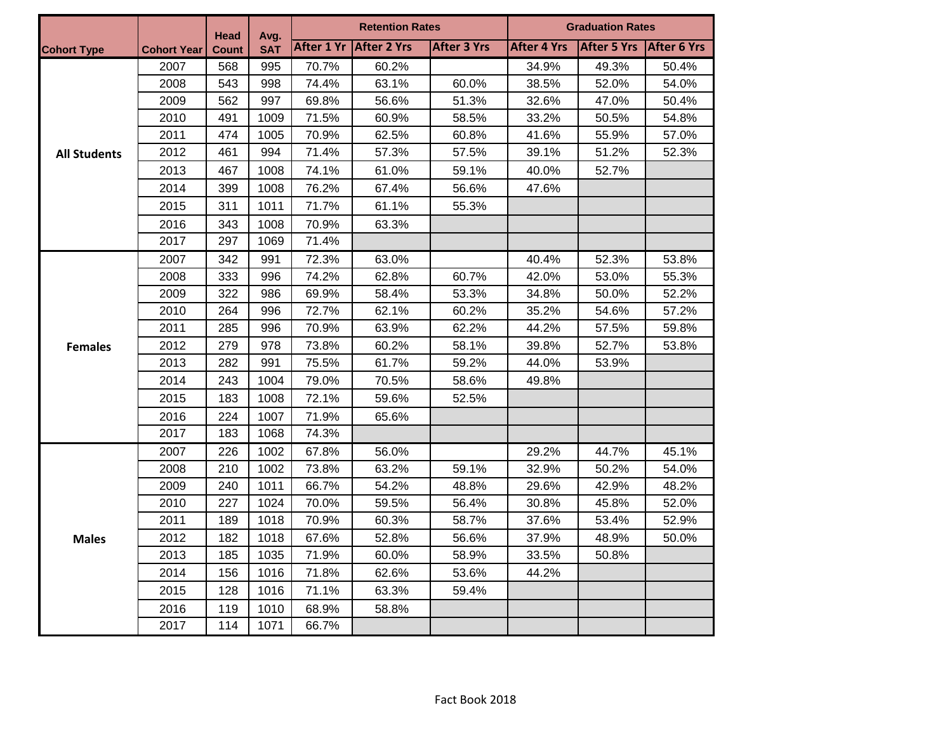|                     |                    | <b>Head</b>  | Avq.       | <b>Retention Rates</b> |                    |                    | <b>Graduation Rates</b> |                    |                    |  |
|---------------------|--------------------|--------------|------------|------------------------|--------------------|--------------------|-------------------------|--------------------|--------------------|--|
| <b>Cohort Type</b>  | <b>Cohort Year</b> | <b>Count</b> | <b>SAT</b> | After 1 Yr             | <b>After 2 Yrs</b> | <b>After 3 Yrs</b> | <b>After 4 Yrs</b>      | <b>After 5 Yrs</b> | <b>After 6 Yrs</b> |  |
|                     | 2007               | 568          | 995        | 70.7%                  | 60.2%              |                    | 34.9%                   | 49.3%              | 50.4%              |  |
|                     | 2008               | 543          | 998        | 74.4%                  | 63.1%              | 60.0%              | 38.5%                   | 52.0%              | 54.0%              |  |
|                     | 2009               | 562          | 997        | 69.8%                  | 56.6%              | 51.3%              | 32.6%                   | 47.0%              | 50.4%              |  |
|                     | 2010               | 491          | 1009       | 71.5%                  | 60.9%              | 58.5%              | 33.2%                   | 50.5%              | 54.8%              |  |
|                     | 2011               | 474          | 1005       | 70.9%                  | 62.5%              | 60.8%              | 41.6%                   | 55.9%              | 57.0%              |  |
| <b>All Students</b> | 2012               | 461          | 994        | 71.4%                  | 57.3%              | 57.5%              | 39.1%                   | 51.2%              | 52.3%              |  |
|                     | 2013               | 467          | 1008       | 74.1%                  | 61.0%              | 59.1%              | 40.0%                   | 52.7%              |                    |  |
|                     | 2014               | 399          | 1008       | 76.2%                  | 67.4%              | 56.6%              | 47.6%                   |                    |                    |  |
|                     | 2015               | 311          | 1011       | 71.7%                  | 61.1%              | 55.3%              |                         |                    |                    |  |
|                     | 2016               | 343          | 1008       | 70.9%                  | 63.3%              |                    |                         |                    |                    |  |
|                     | 2017               | 297          | 1069       | 71.4%                  |                    |                    |                         |                    |                    |  |
|                     | 2007               | 342          | 991        | 72.3%                  | 63.0%              |                    | 40.4%                   | 52.3%              | 53.8%              |  |
|                     | 2008               | 333          | 996        | 74.2%                  | 62.8%              | 60.7%              | 42.0%                   | 53.0%              | 55.3%              |  |
|                     | 2009               | 322          | 986        | 69.9%                  | 58.4%              | 53.3%              | 34.8%                   | 50.0%              | 52.2%              |  |
|                     | 2010               | 264          | 996        | 72.7%                  | 62.1%              | 60.2%              | 35.2%                   | 54.6%              | 57.2%              |  |
|                     | 2011               | 285          | 996        | 70.9%                  | 63.9%              | 62.2%              | 44.2%                   | 57.5%              | 59.8%              |  |
| <b>Females</b>      | 2012               | 279          | 978        | 73.8%                  | 60.2%              | 58.1%              | 39.8%                   | 52.7%              | 53.8%              |  |
|                     | 2013               | 282          | 991        | 75.5%                  | 61.7%              | 59.2%              | 44.0%                   | 53.9%              |                    |  |
|                     | 2014               | 243          | 1004       | 79.0%                  | 70.5%              | 58.6%              | 49.8%                   |                    |                    |  |
|                     | 2015               | 183          | 1008       | 72.1%                  | 59.6%              | 52.5%              |                         |                    |                    |  |
|                     | 2016               | 224          | 1007       | 71.9%                  | 65.6%              |                    |                         |                    |                    |  |
|                     | 2017               | 183          | 1068       | 74.3%                  |                    |                    |                         |                    |                    |  |
|                     | 2007               | 226          | 1002       | 67.8%                  | 56.0%              |                    | 29.2%                   | 44.7%              | 45.1%              |  |
|                     | 2008               | 210          | 1002       | 73.8%                  | 63.2%              | 59.1%              | 32.9%                   | 50.2%              | 54.0%              |  |
| <b>Males</b>        | 2009               | 240          | 1011       | 66.7%                  | 54.2%              | 48.8%              | 29.6%                   | 42.9%              | 48.2%              |  |
|                     | 2010               | 227          | 1024       | 70.0%                  | 59.5%              | 56.4%              | 30.8%                   | 45.8%              | 52.0%              |  |
|                     | 2011               | 189          | 1018       | 70.9%                  | 60.3%              | 58.7%              | 37.6%                   | 53.4%              | 52.9%              |  |
|                     | 2012               | 182          | 1018       | 67.6%                  | 52.8%              | 56.6%              | 37.9%                   | 48.9%              | 50.0%              |  |
|                     | 2013               | 185          | 1035       | 71.9%                  | 60.0%              | 58.9%              | 33.5%                   | 50.8%              |                    |  |
|                     | 2014               | 156          | 1016       | 71.8%                  | 62.6%              | 53.6%              | 44.2%                   |                    |                    |  |
|                     | 2015               | 128          | 1016       | 71.1%                  | 63.3%              | 59.4%              |                         |                    |                    |  |
|                     | 2016               | 119          | 1010       | 68.9%                  | 58.8%              |                    |                         |                    |                    |  |
|                     | 2017               | 114          | 1071       | 66.7%                  |                    |                    |                         |                    |                    |  |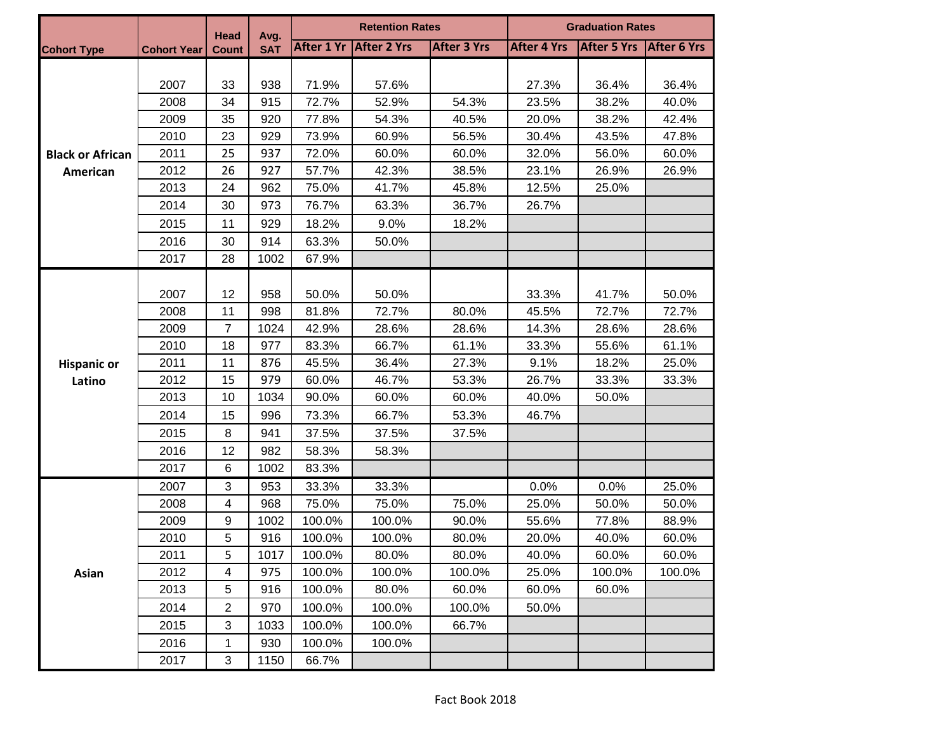|                              |                    | Head           | Avg.       |                   | <b>Retention Rates</b> |                    | <b>Graduation Rates</b> |                    |                    |
|------------------------------|--------------------|----------------|------------|-------------------|------------------------|--------------------|-------------------------|--------------------|--------------------|
| <b>Cohort Type</b>           | <b>Cohort Year</b> | <b>Count</b>   | <b>SAT</b> | <b>After 1 Yr</b> | <b>After 2 Yrs</b>     | <b>After 3 Yrs</b> | <b>After 4 Yrs</b>      | <b>After 5 Yrs</b> | <b>After 6 Yrs</b> |
|                              |                    |                |            |                   |                        |                    |                         |                    |                    |
|                              | 2007               | 33             | 938        | 71.9%             | 57.6%                  |                    | 27.3%                   | 36.4%              | 36.4%              |
|                              | 2008               | 34             | 915        | 72.7%             | 52.9%                  | 54.3%              | 23.5%                   | 38.2%              | 40.0%              |
| <b>Black or African</b>      | 2009               | 35             | 920        | 77.8%             | 54.3%                  | 40.5%              | 20.0%                   | 38.2%              | 42.4%              |
|                              | 2010               | 23             | 929        | 73.9%             | 60.9%                  | 56.5%              | 30.4%                   | 43.5%              | 47.8%              |
|                              | 2011               | 25             | 937        | 72.0%             | 60.0%                  | 60.0%              | 32.0%                   | 56.0%              | 60.0%              |
| American                     | 2012               | 26             | 927        | 57.7%             | 42.3%                  | 38.5%              | 23.1%                   | 26.9%              | 26.9%              |
|                              | 2013               | 24             | 962        | 75.0%             | 41.7%                  | 45.8%              | 12.5%                   | 25.0%              |                    |
|                              | 2014               | 30             | 973        | 76.7%             | 63.3%                  | 36.7%              | 26.7%                   |                    |                    |
|                              | 2015               | 11             | 929        | 18.2%             | 9.0%                   | 18.2%              |                         |                    |                    |
|                              | 2016               | 30             | 914        | 63.3%             | 50.0%                  |                    |                         |                    |                    |
|                              | 2017               | 28             | 1002       | 67.9%             |                        |                    |                         |                    |                    |
|                              |                    |                |            |                   |                        |                    |                         |                    |                    |
|                              | 2007               | 12             | 958        | 50.0%             | 50.0%                  |                    | 33.3%                   | 41.7%              | 50.0%              |
| <b>Hispanic or</b><br>Latino | 2008               | 11             | 998        | 81.8%             | 72.7%                  | 80.0%              | 45.5%                   | 72.7%              | 72.7%              |
|                              | 2009               | $\overline{7}$ | 1024       | 42.9%             | 28.6%                  | 28.6%              | 14.3%                   | 28.6%              | 28.6%              |
|                              | 2010               | 18             | 977        | 83.3%             | 66.7%                  | 61.1%              | 33.3%                   | 55.6%              | 61.1%              |
|                              | 2011               | 11             | 876        | 45.5%             | 36.4%                  | 27.3%              | 9.1%                    | 18.2%              | 25.0%              |
|                              | 2012               | 15             | 979        | 60.0%             | 46.7%                  | 53.3%              | 26.7%                   | 33.3%              | 33.3%              |
|                              | 2013               | 10             | 1034       | 90.0%             | 60.0%                  | 60.0%              | 40.0%                   | 50.0%              |                    |
|                              | 2014               | 15             | 996        | 73.3%             | 66.7%                  | 53.3%              | 46.7%                   |                    |                    |
|                              | 2015               | 8              | 941        | 37.5%             | 37.5%                  | 37.5%              |                         |                    |                    |
|                              | 2016               | 12             | 982        | 58.3%             | 58.3%                  |                    |                         |                    |                    |
|                              | 2017               | 6              | 1002       | 83.3%             |                        |                    |                         |                    |                    |
|                              | 2007               | 3              | 953        | 33.3%             | 33.3%                  |                    | 0.0%                    | 0.0%               | 25.0%              |
|                              | 2008               | 4              | 968        | 75.0%             | 75.0%                  | 75.0%              | 25.0%                   | 50.0%              | 50.0%              |
|                              | 2009               | 9              | 1002       | 100.0%            | 100.0%                 | 90.0%              | 55.6%                   | 77.8%              | 88.9%              |
| <b>Asian</b>                 | 2010               | 5              | 916        | 100.0%            | 100.0%                 | 80.0%              | 20.0%                   | 40.0%              | 60.0%              |
|                              | 2011               | 5              | 1017       | 100.0%            | 80.0%                  | 80.0%              | 40.0%                   | 60.0%              | 60.0%              |
|                              | 2012               | 4              | 975        | 100.0%            | 100.0%                 | 100.0%             | 25.0%                   | 100.0%             | 100.0%             |
|                              | 2013               | 5              | 916        | 100.0%            | 80.0%                  | 60.0%              | 60.0%                   | 60.0%              |                    |
|                              | 2014               | $\overline{2}$ | 970        | 100.0%            | 100.0%                 | 100.0%             | 50.0%                   |                    |                    |
|                              | 2015               | 3              | 1033       | 100.0%            | 100.0%                 | 66.7%              |                         |                    |                    |
|                              | 2016               | 1              | 930        | 100.0%            | 100.0%                 |                    |                         |                    |                    |
|                              | 2017               | $\mathfrak{S}$ | 1150       | 66.7%             |                        |                    |                         |                    |                    |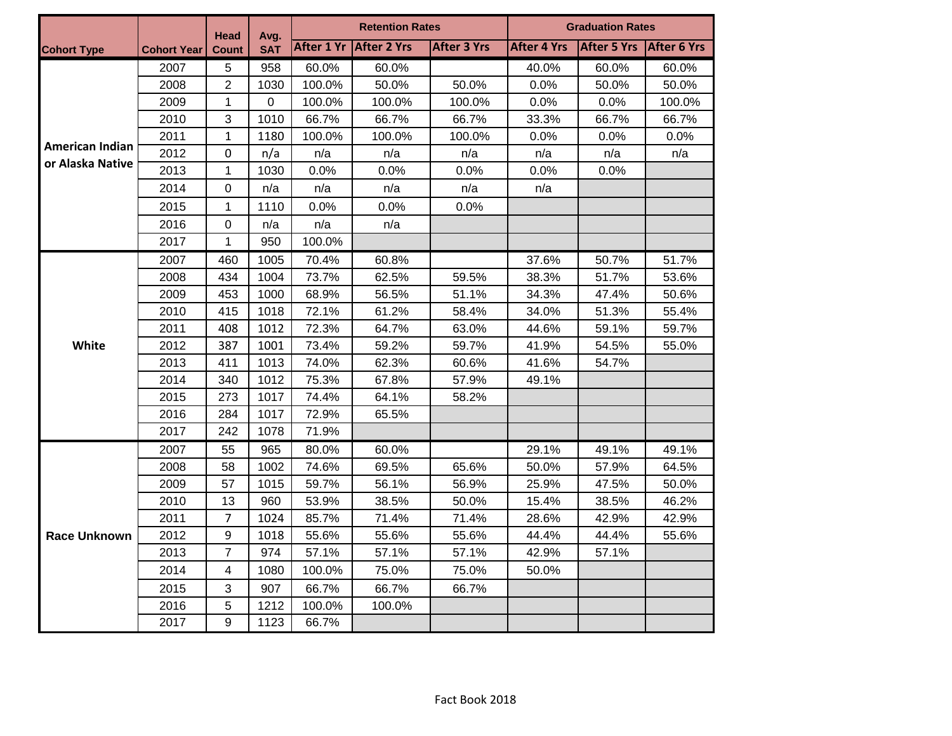|                        |                    | <b>Head</b>    |                    | <b>Retention Rates</b> |                    |                    | <b>Graduation Rates</b> |                    |                     |
|------------------------|--------------------|----------------|--------------------|------------------------|--------------------|--------------------|-------------------------|--------------------|---------------------|
| <b>Cohort Type</b>     | <b>Cohort Year</b> | <b>Count</b>   | Avg.<br><b>SAT</b> | <b>After 1 Yr</b>      | <b>After 2 Yrs</b> | <b>After 3 Yrs</b> | <b>After 4 Yrs</b>      | <b>After 5 Yrs</b> | <b>IAfter 6 Yrs</b> |
|                        | 2007               | 5              | 958                | 60.0%                  | 60.0%              |                    | 40.0%                   | 60.0%              | 60.0%               |
|                        | 2008               | $\overline{2}$ | 1030               | 100.0%                 | 50.0%              | 50.0%              | 0.0%                    | 50.0%              | 50.0%               |
|                        | 2009               | $\mathbf{1}$   | $\Omega$           | 100.0%                 | 100.0%             | 100.0%             | 0.0%                    | 0.0%               | 100.0%              |
|                        | 2010               | 3              | 1010               | 66.7%                  | 66.7%              | 66.7%              | 33.3%                   | 66.7%              | 66.7%               |
|                        | 2011               | $\mathbf{1}$   | 1180               | 100.0%                 | 100.0%             | 100.0%             | 0.0%                    | 0.0%               | 0.0%                |
| <b>American Indian</b> | 2012               | 0              | n/a                | n/a                    | n/a                | n/a                | n/a                     | n/a                | n/a                 |
| or Alaska Native       | 2013               | $\mathbf{1}$   | 1030               | 0.0%                   | 0.0%               | 0.0%               | 0.0%                    | 0.0%               |                     |
|                        | 2014               | 0              | n/a                | n/a                    | n/a                | n/a                | n/a                     |                    |                     |
|                        | 2015               | 1              | 1110               | 0.0%                   | 0.0%               | 0.0%               |                         |                    |                     |
|                        | 2016               | 0              | n/a                | n/a                    | n/a                |                    |                         |                    |                     |
|                        | 2017               | $\mathbf{1}$   | 950                | 100.0%                 |                    |                    |                         |                    |                     |
|                        | 2007               | 460            | 1005               | 70.4%                  | 60.8%              |                    | 37.6%                   | 50.7%              | 51.7%               |
|                        | 2008               | 434            | 1004               | 73.7%                  | 62.5%              | 59.5%              | 38.3%                   | 51.7%              | 53.6%               |
|                        | 2009               | 453            | 1000               | 68.9%                  | 56.5%              | 51.1%              | 34.3%                   | 47.4%              | 50.6%               |
|                        | 2010               | 415            | 1018               | 72.1%                  | 61.2%              | 58.4%              | 34.0%                   | 51.3%              | 55.4%               |
|                        | 2011               | 408            | 1012               | 72.3%                  | 64.7%              | 63.0%              | 44.6%                   | 59.1%              | 59.7%               |
| White                  | 2012               | 387            | 1001               | 73.4%                  | 59.2%              | 59.7%              | 41.9%                   | 54.5%              | 55.0%               |
|                        | 2013               | 411            | 1013               | 74.0%                  | 62.3%              | 60.6%              | 41.6%                   | 54.7%              |                     |
|                        | 2014               | 340            | 1012               | 75.3%                  | 67.8%              | 57.9%              | 49.1%                   |                    |                     |
|                        | 2015               | 273            | 1017               | 74.4%                  | 64.1%              | 58.2%              |                         |                    |                     |
|                        | 2016               | 284            | 1017               | 72.9%                  | 65.5%              |                    |                         |                    |                     |
|                        | 2017               | 242            | 1078               | 71.9%                  |                    |                    |                         |                    |                     |
|                        | 2007               | 55             | 965                | 80.0%                  | 60.0%              |                    | 29.1%                   | 49.1%              | 49.1%               |
|                        | 2008               | 58             | 1002               | 74.6%                  | 69.5%              | 65.6%              | 50.0%                   | 57.9%              | 64.5%               |
|                        | 2009               | 57             | 1015               | 59.7%                  | 56.1%              | 56.9%              | 25.9%                   | 47.5%              | 50.0%               |
|                        | 2010               | 13             | 960                | 53.9%                  | 38.5%              | 50.0%              | 15.4%                   | 38.5%              | 46.2%               |
| <b>Race Unknown</b>    | 2011               | $\overline{7}$ | 1024               | 85.7%                  | 71.4%              | 71.4%              | 28.6%                   | 42.9%              | 42.9%               |
|                        | 2012               | 9              | 1018               | 55.6%                  | 55.6%              | 55.6%              | 44.4%                   | 44.4%              | 55.6%               |
|                        | 2013               | $\overline{7}$ | 974                | 57.1%                  | 57.1%              | 57.1%              | 42.9%                   | 57.1%              |                     |
|                        | 2014               | 4              | 1080               | 100.0%                 | 75.0%              | 75.0%              | 50.0%                   |                    |                     |
|                        | 2015               | 3              | 907                | 66.7%                  | 66.7%              | 66.7%              |                         |                    |                     |
|                        | 2016               | 5              | 1212               | 100.0%                 | 100.0%             |                    |                         |                    |                     |
|                        | 2017               | 9              | 1123               | 66.7%                  |                    |                    |                         |                    |                     |